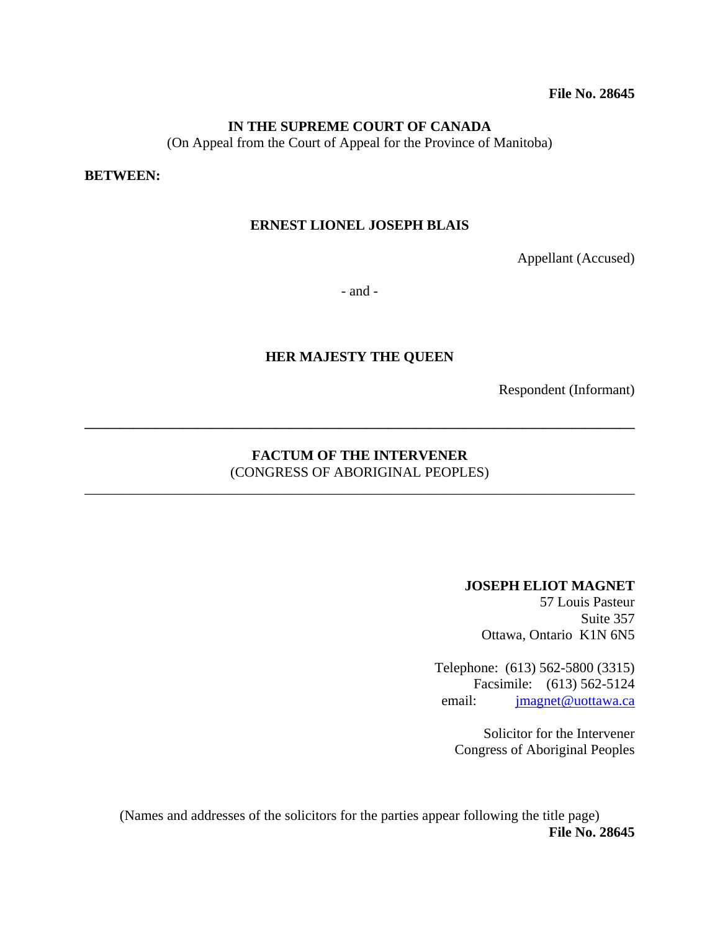**File No. 28645** 

#### **IN THE SUPREME COURT OF CANADA**

(On Appeal from the Court of Appeal for the Province of Manitoba)

#### **BETWEEN:**

#### **ERNEST LIONEL JOSEPH BLAIS**

Appellant (Accused)

- and -

#### **HER MAJESTY THE QUEEN**

Respondent (Informant)

## **FACTUM OF THE INTERVENER**  (CONGRESS OF ABORIGINAL PEOPLES)

\_\_\_\_\_\_\_\_\_\_\_\_\_\_\_\_\_\_\_\_\_\_\_\_\_\_\_\_\_\_\_\_\_\_\_\_\_\_\_\_\_\_\_\_\_\_\_\_\_\_\_\_\_\_\_\_\_\_\_\_\_\_\_\_\_\_\_\_\_\_\_\_\_\_\_\_\_\_

**\_\_\_\_\_\_\_\_\_\_\_\_\_\_\_\_\_\_\_\_\_\_\_\_\_\_\_\_\_\_\_\_\_\_\_\_\_\_\_\_\_\_\_\_\_\_\_\_\_\_\_\_\_\_\_\_\_\_\_\_\_\_\_\_\_\_\_\_\_\_\_\_\_\_\_\_\_\_** 

#### **JOSEPH ELIOT MAGNET**

57 Louis Pasteur Suite 357 Ottawa, Ontario K1N 6N5

Telephone: (613) 562-5800 (3315) Facsimile: (613) 562-5124 email: jmagnet@uottawa.ca

Solicitor for the Intervener Congress of Aboriginal Peoples

(Names and addresses of the solicitors for the parties appear following the title page) **File No. 28645**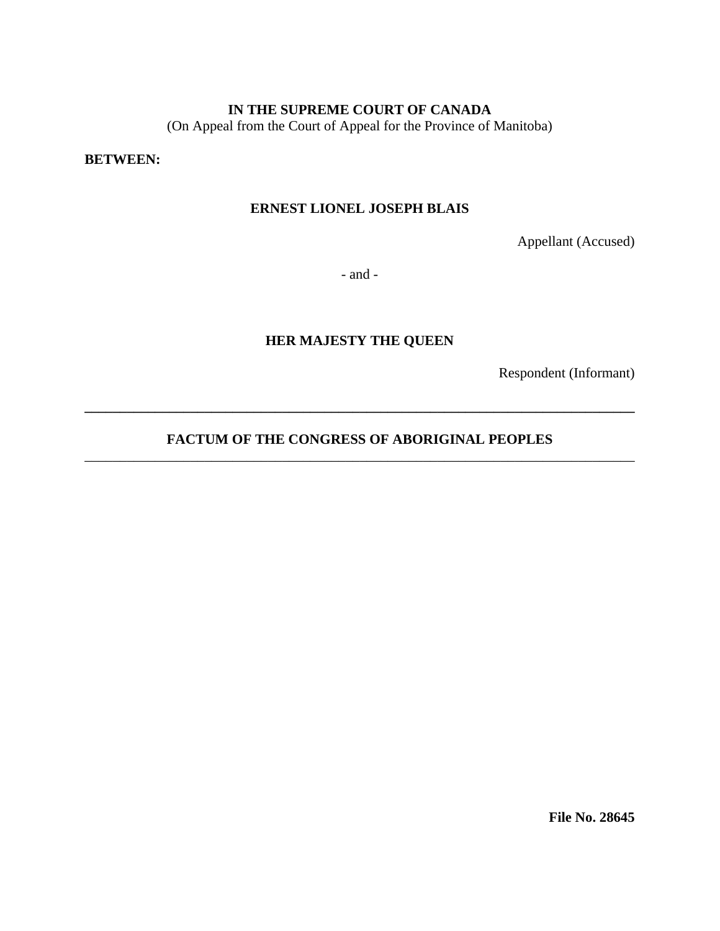## **IN THE SUPREME COURT OF CANADA**

(On Appeal from the Court of Appeal for the Province of Manitoba)

**BETWEEN:**

## **ERNEST LIONEL JOSEPH BLAIS**

Appellant (Accused)

- and -

## **HER MAJESTY THE QUEEN**

Respondent (Informant)

## **FACTUM OF THE CONGRESS OF ABORIGINAL PEOPLES** \_\_\_\_\_\_\_\_\_\_\_\_\_\_\_\_\_\_\_\_\_\_\_\_\_\_\_\_\_\_\_\_\_\_\_\_\_\_\_\_\_\_\_\_\_\_\_\_\_\_\_\_\_\_\_\_\_\_\_\_\_\_\_\_\_\_\_\_\_\_\_\_\_\_\_\_\_\_

**\_\_\_\_\_\_\_\_\_\_\_\_\_\_\_\_\_\_\_\_\_\_\_\_\_\_\_\_\_\_\_\_\_\_\_\_\_\_\_\_\_\_\_\_\_\_\_\_\_\_\_\_\_\_\_\_\_\_\_\_\_\_\_\_\_\_\_\_\_\_\_\_\_\_\_\_\_\_** 

**File No. 28645**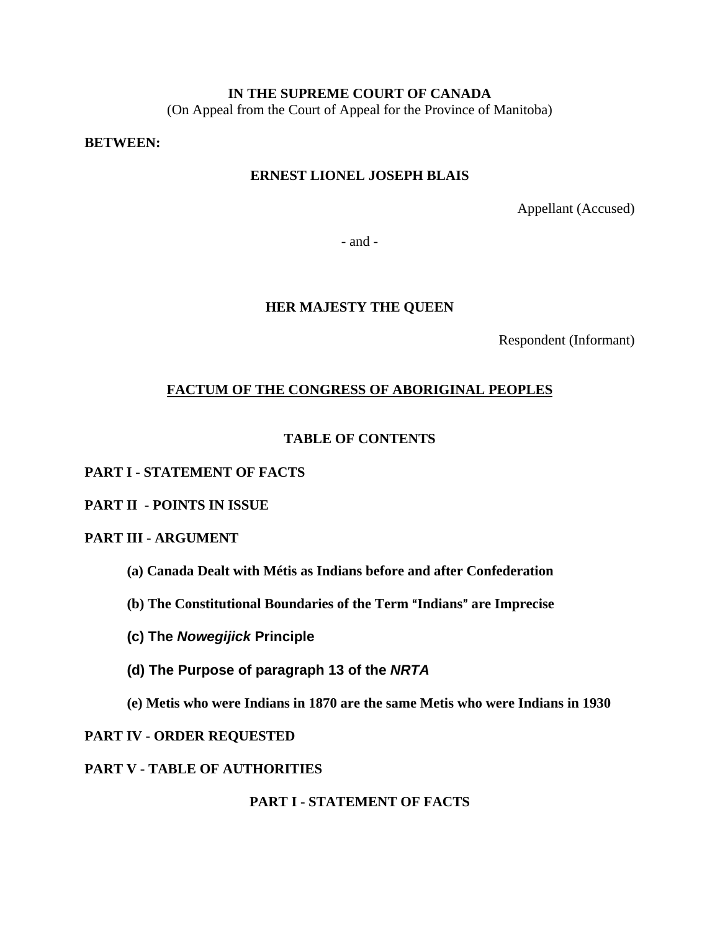## **IN THE SUPREME COURT OF CANADA**

(On Appeal from the Court of Appeal for the Province of Manitoba)

#### **BETWEEN:**

## **ERNEST LIONEL JOSEPH BLAIS**

Appellant (Accused)

- and -

#### **HER MAJESTY THE QUEEN**

Respondent (Informant)

## **FACTUM OF THE CONGRESS OF ABORIGINAL PEOPLES**

#### **TABLE OF CONTENTS**

#### **PART I - STATEMENT OF FACTS**

## **PART II - POINTS IN ISSUE**

## **PART III - ARGUMENT**

- **(a) Canada Dealt with Métis as Indians before and after Confederation**
- **(b) The Constitutional Boundaries of the Term "Indians" are Imprecise**
- **(c) The** *Nowegijick* **Principle**
- **(d) The Purpose of paragraph 13 of the** *NRTA*
- **(e) Metis who were Indians in 1870 are the same Metis who were Indians in 1930**

#### **PART IV - ORDER REQUESTED**

**PART V - TABLE OF AUTHORITIES**

**PART I - STATEMENT OF FACTS**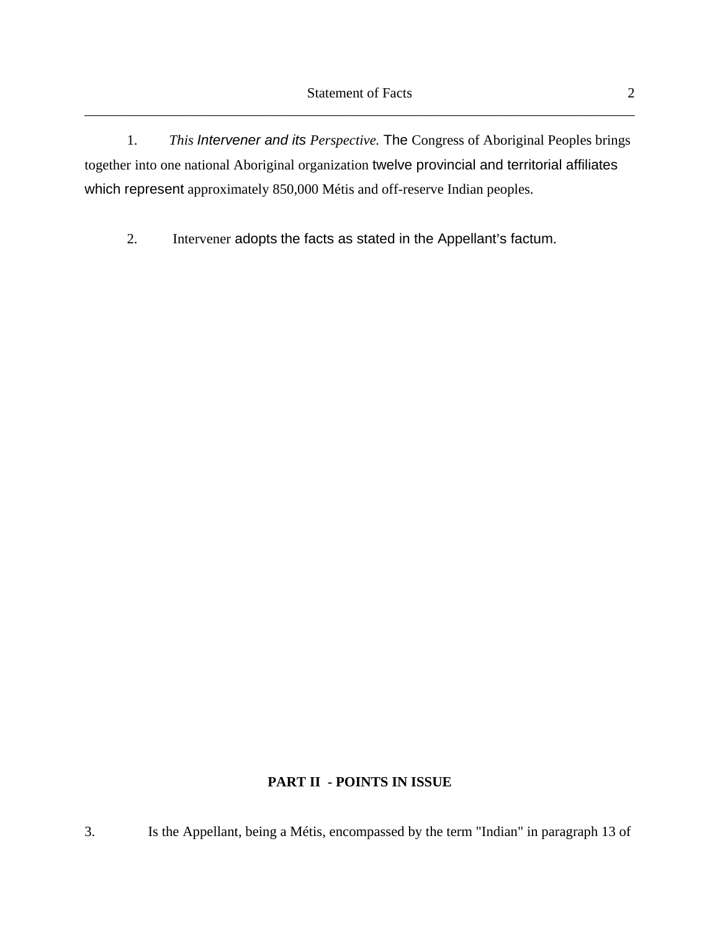1. *This Intervener and its Perspective.* The Congress of Aboriginal Peoples brings together into one national Aboriginal organization twelve provincial and territorial affiliates which represent approximately 850,000 Métis and off-reserve Indian peoples.

2. Intervener adopts the facts as stated in the Appellant's factum.

# **PART II - POINTS IN ISSUE**

3. Is the Appellant, being a Métis, encompassed by the term "Indian" in paragraph 13 of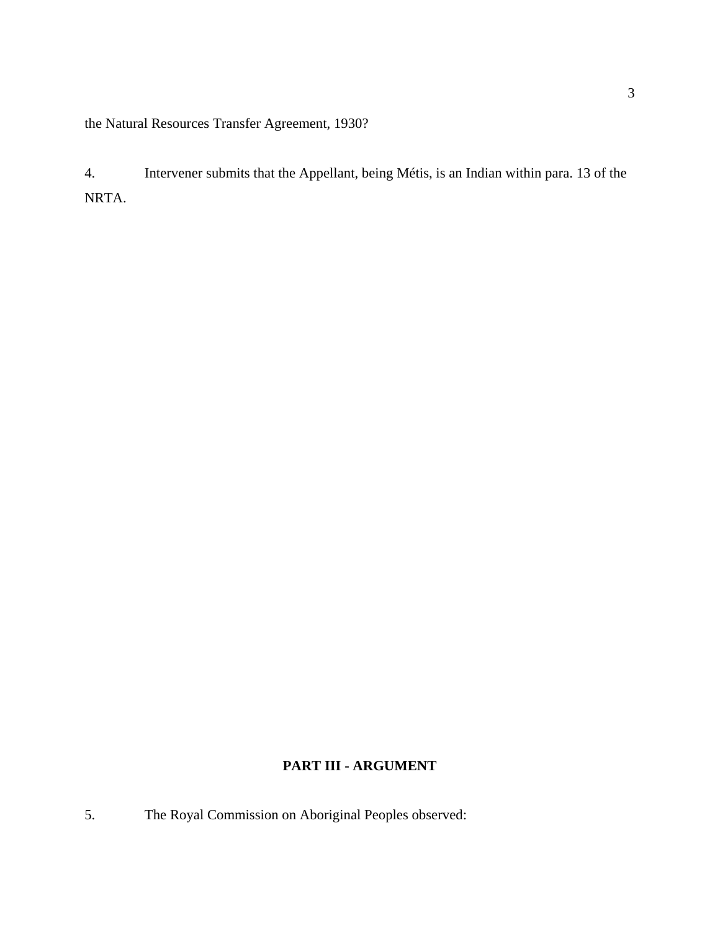the Natural Resources Transfer Agreement, 1930?

4. Intervener submits that the Appellant, being Métis, is an Indian within para. 13 of the NRTA.

# **PART III - ARGUMENT**

5. The Royal Commission on Aboriginal Peoples observed: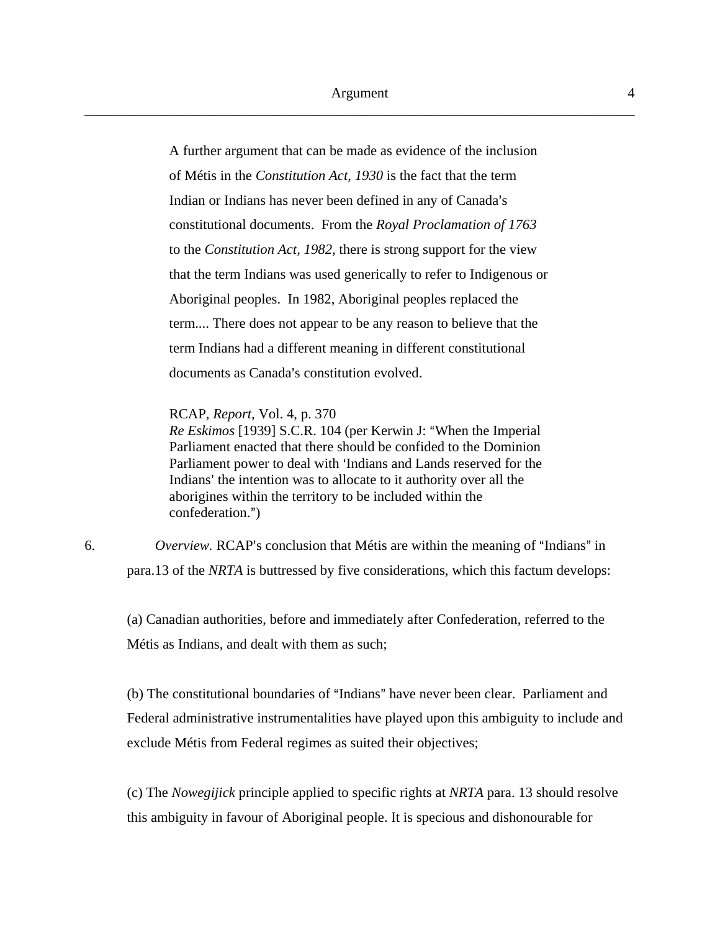A further argument that can be made as evidence of the inclusion of Métis in the *Constitution Act, 1930* is the fact that the term Indian or Indians has never been defined in any of Canada's constitutional documents. From the *Royal Proclamation of 1763*  to the *Constitution Act, 1982*, there is strong support for the view that the term Indians was used generically to refer to Indigenous or Aboriginal peoples. In 1982, Aboriginal peoples replaced the term.... There does not appear to be any reason to believe that the term Indians had a different meaning in different constitutional documents as Canada's constitution evolved.

RCAP, *Report*, Vol. 4, p. 370

*Re Eskimos* [1939] S.C.R. 104 (per Kerwin J: "When the Imperial Parliament enacted that there should be confided to the Dominion Parliament power to deal with 'Indians and Lands reserved for the Indians' the intention was to allocate to it authority over all the aborigines within the territory to be included within the confederation.")

6. *Overview.* RCAP's conclusion that Métis are within the meaning of "Indians" in para.13 of the *NRTA* is buttressed by five considerations, which this factum develops:

(a) Canadian authorities, before and immediately after Confederation, referred to the Métis as Indians, and dealt with them as such;

(b) The constitutional boundaries of "Indians" have never been clear. Parliament and Federal administrative instrumentalities have played upon this ambiguity to include and exclude Métis from Federal regimes as suited their objectives;

(c) The *Nowegijick* principle applied to specific rights at *NRTA* para. 13 should resolve this ambiguity in favour of Aboriginal people. It is specious and dishonourable for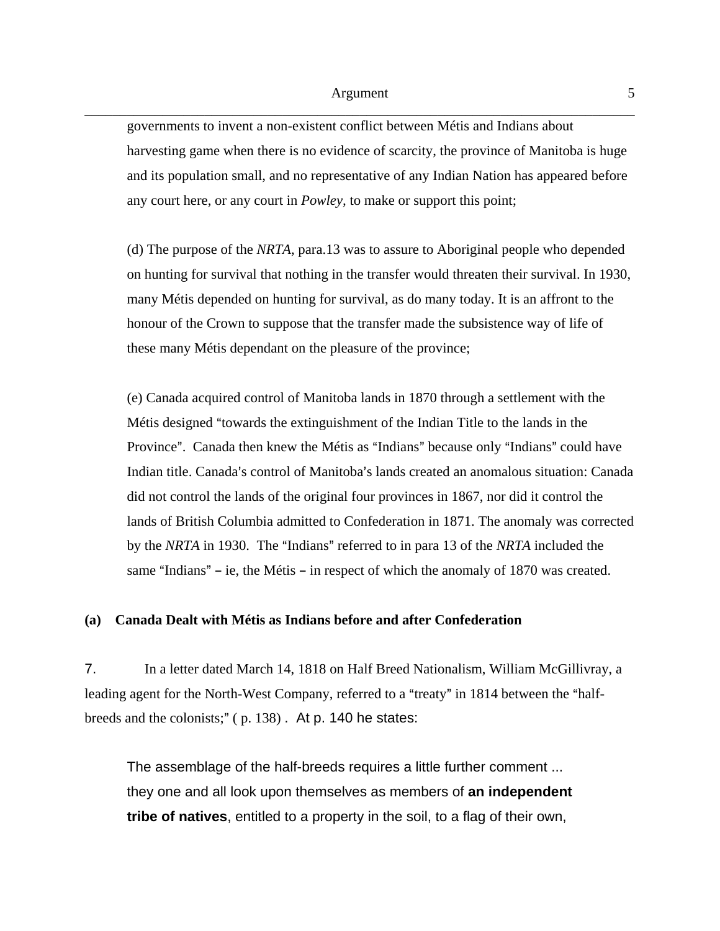governments to invent a non-existent conflict between Métis and Indians about harvesting game when there is no evidence of scarcity, the province of Manitoba is huge and its population small, and no representative of any Indian Nation has appeared before any court here, or any court in *Powley,* to make or support this point;

(d) The purpose of the *NRTA*, para.13 was to assure to Aboriginal people who depended on hunting for survival that nothing in the transfer would threaten their survival. In 1930, many Métis depended on hunting for survival, as do many today. It is an affront to the honour of the Crown to suppose that the transfer made the subsistence way of life of these many Métis dependant on the pleasure of the province;

(e) Canada acquired control of Manitoba lands in 1870 through a settlement with the Métis designed "towards the extinguishment of the Indian Title to the lands in the Province". Canada then knew the Métis as "Indians" because only "Indians" could have Indian title. Canada's control of Manitoba's lands created an anomalous situation: Canada did not control the lands of the original four provinces in 1867, nor did it control the lands of British Columbia admitted to Confederation in 1871. The anomaly was corrected by the *NRTA* in 1930. The "Indians" referred to in para 13 of the *NRTA* included the same "Indians"  $-$  ie, the Métis  $-$  in respect of which the anomaly of 1870 was created.

#### **(a) Canada Dealt with Métis as Indians before and after Confederation**

7. In a letter dated March 14, 1818 on Half Breed Nationalism, William McGillivray, a leading agent for the North-West Company, referred to a "treaty" in 1814 between the "halfbreeds and the colonists;"  $(p. 138)$ . At p. 140 he states:

The assemblage of the half-breeds requires a little further comment ... they one and all look upon themselves as members of **an independent tribe of natives**, entitled to a property in the soil, to a flag of their own,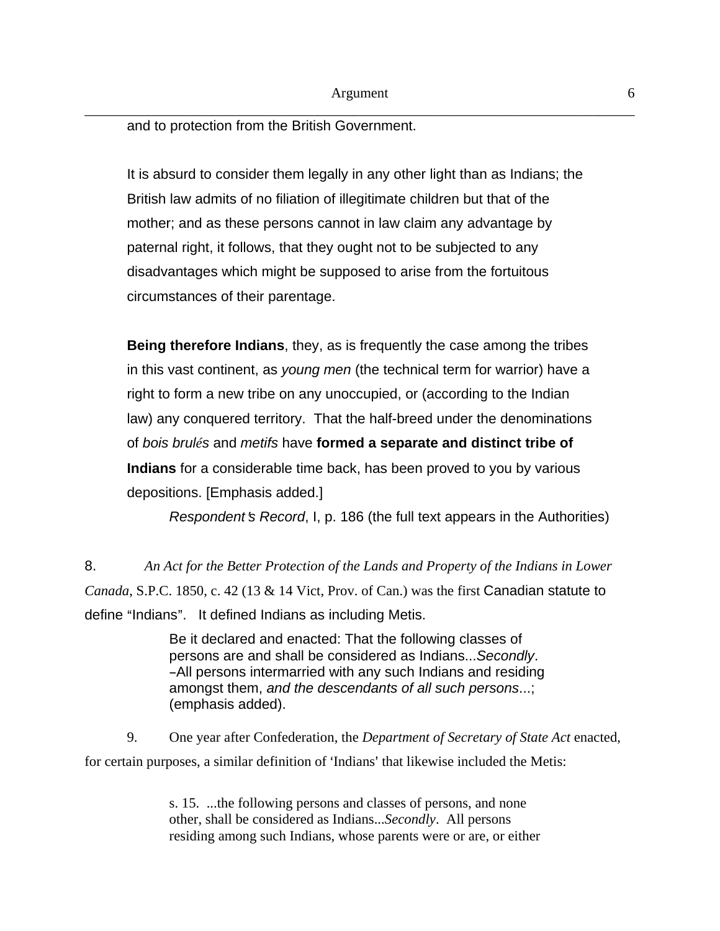and to protection from the British Government.

It is absurd to consider them legally in any other light than as Indians; the British law admits of no filiation of illegitimate children but that of the mother; and as these persons cannot in law claim any advantage by paternal right, it follows, that they ought not to be subjected to any disadvantages which might be supposed to arise from the fortuitous circumstances of their parentage.

**Being therefore Indians**, they, as is frequently the case among the tribes in this vast continent, as *young men* (the technical term for warrior) have a right to form a new tribe on any unoccupied, or (according to the Indian law) any conquered territory. That the half-breed under the denominations of *bois brulés* and *metifs* have **formed a separate and distinct tribe of Indians** for a considerable time back, has been proved to you by various depositions. [Emphasis added.]

*Respondent's Record*, I, p. 186 (the full text appears in the Authorities)

8. *An Act for the Better Protection of the Lands and Property of the Indians in Lower Canada*, S.P.C. 1850, c. 42 (13 & 14 Vict, Prov. of Can.) was the first Canadian statute to define "Indians". It defined Indians as including Metis.

> Be it declared and enacted: That the following classes of persons are and shall be considered as Indians...*Secondly*. -All persons intermarried with any such Indians and residing amongst them, *and the descendants of all such persons*...; (emphasis added).

9. One year after Confederation, the *Department of Secretary of State Act* enacted, for certain purposes, a similar definition of 'Indians' that likewise included the Metis:

> s. 15. ...the following persons and classes of persons, and none other, shall be considered as Indians...*Secondly*. All persons residing among such Indians, whose parents were or are, or either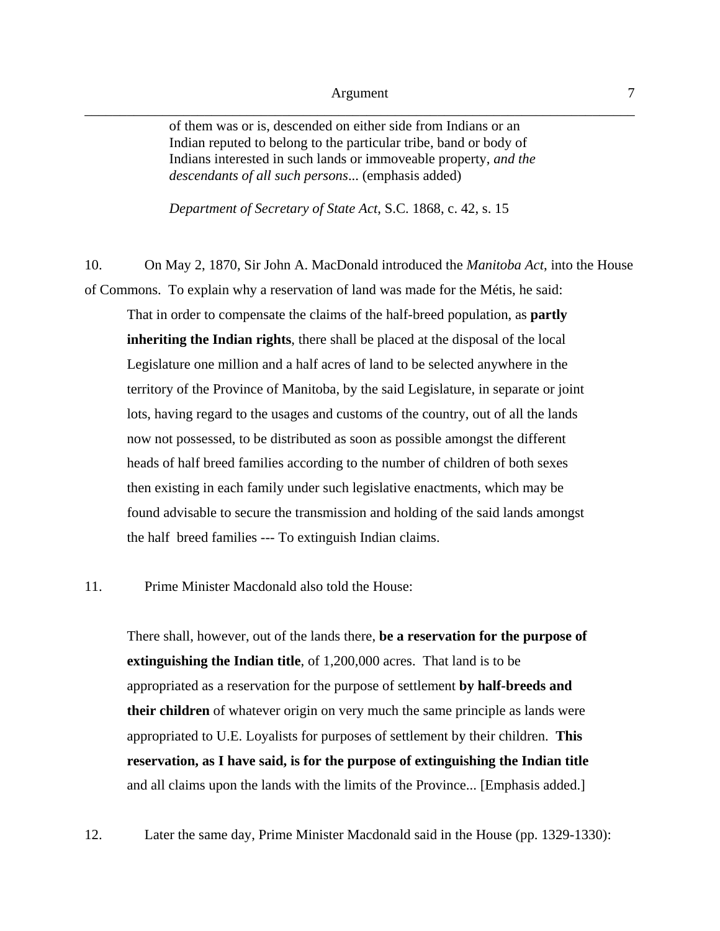of them was or is, descended on either side from Indians or an Indian reputed to belong to the particular tribe, band or body of Indians interested in such lands or immoveable property, *and the descendants of all such persons*... (emphasis added)

*Department of Secretary of State Act*, S.C. 1868, c. 42, s. 15

10. On May 2, 1870, Sir John A. MacDonald introduced the *Manitoba Act*, into the House of Commons. To explain why a reservation of land was made for the Métis, he said:

That in order to compensate the claims of the half-breed population, as **partly inheriting the Indian rights**, there shall be placed at the disposal of the local Legislature one million and a half acres of land to be selected anywhere in the territory of the Province of Manitoba, by the said Legislature, in separate or joint lots, having regard to the usages and customs of the country, out of all the lands now not possessed, to be distributed as soon as possible amongst the different heads of half breed families according to the number of children of both sexes then existing in each family under such legislative enactments, which may be found advisable to secure the transmission and holding of the said lands amongst the half breed families --- To extinguish Indian claims.

#### 11. Prime Minister Macdonald also told the House:

There shall, however, out of the lands there, **be a reservation for the purpose of extinguishing the Indian title**, of 1,200,000 acres. That land is to be appropriated as a reservation for the purpose of settlement **by half-breeds and their children** of whatever origin on very much the same principle as lands were appropriated to U.E. Loyalists for purposes of settlement by their children. **This reservation, as I have said, is for the purpose of extinguishing the Indian title** and all claims upon the lands with the limits of the Province... [Emphasis added.]

12. Later the same day, Prime Minister Macdonald said in the House (pp. 1329-1330):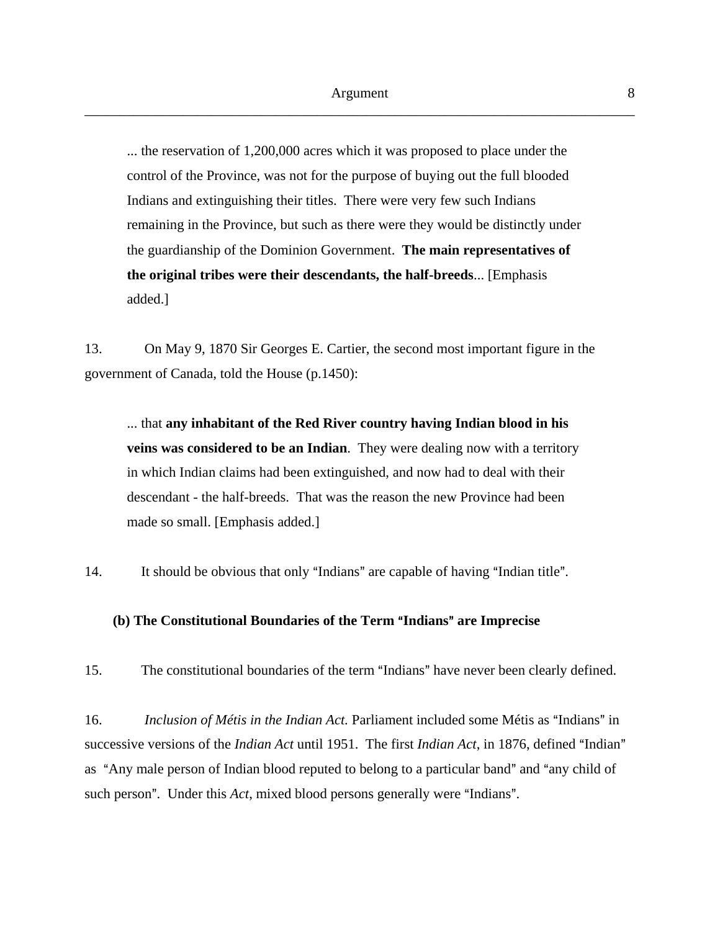... the reservation of 1,200,000 acres which it was proposed to place under the control of the Province, was not for the purpose of buying out the full blooded Indians and extinguishing their titles. There were very few such Indians remaining in the Province, but such as there were they would be distinctly under the guardianship of the Dominion Government. **The main representatives of the original tribes were their descendants, the half-breeds**... [Emphasis added.]

13. On May 9, 1870 Sir Georges E. Cartier, the second most important figure in the government of Canada, told the House (p.1450):

... that **any inhabitant of the Red River country having Indian blood in his veins was considered to be an Indian**. They were dealing now with a territory in which Indian claims had been extinguished, and now had to deal with their descendant - the half-breeds. That was the reason the new Province had been made so small. [Emphasis added.]

14. It should be obvious that only "Indians" are capable of having "Indian title".

## **(b) The Constitutional Boundaries of the Term "Indians" are Imprecise**

15. The constitutional boundaries of the term "Indians" have never been clearly defined.

16. *Inclusion of Métis in the Indian Act*. Parliament included some Métis as "Indians" in successive versions of the *Indian Act* until 1951. The first *Indian Act*, in 1876, defined "Indian" as "Any male person of Indian blood reputed to belong to a particular band" and "any child of such person". Under this *Act*, mixed blood persons generally were "Indians".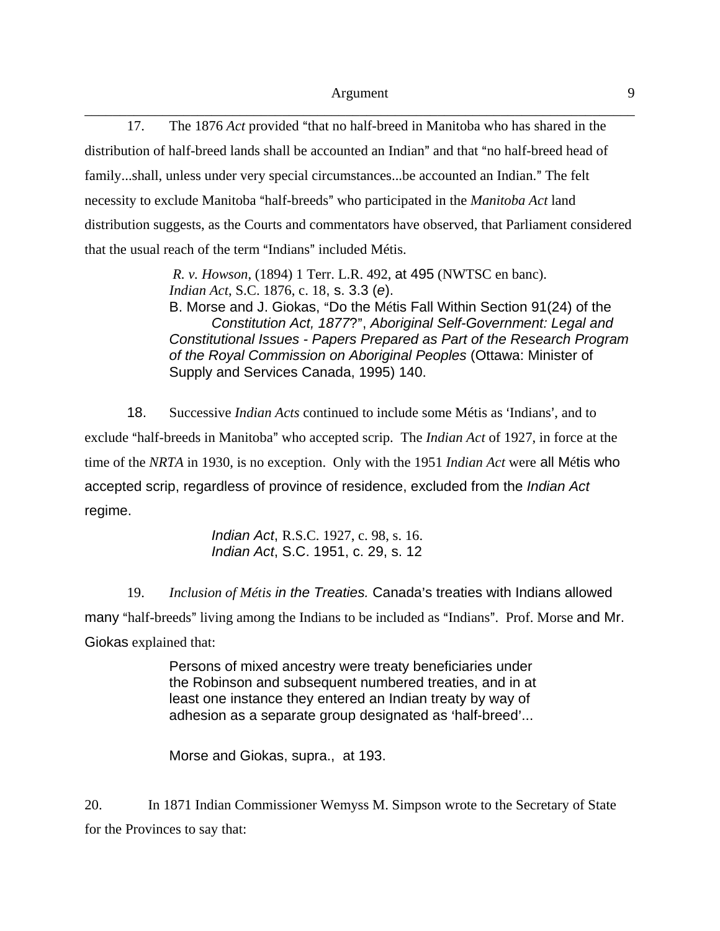\_\_\_\_\_\_\_\_\_\_\_\_\_\_\_\_\_\_\_\_\_\_\_\_\_\_\_\_\_\_\_\_\_\_\_\_\_\_\_\_\_\_\_\_\_\_\_\_\_\_\_\_\_\_\_\_\_\_\_\_\_\_\_\_\_\_\_\_\_\_\_\_\_\_\_\_\_\_ 17. The 1876 *Act* provided "that no half-breed in Manitoba who has shared in the distribution of half-breed lands shall be accounted an Indian" and that "no half-breed head of family...shall, unless under very special circumstances...be accounted an Indian." The felt necessity to exclude Manitoba "half-breeds" who participated in the *Manitoba Act* land distribution suggests, as the Courts and commentators have observed, that Parliament considered that the usual reach of the term "Indians" included Métis.

> *R. v. Howson*, (1894) 1 Terr. L.R. 492, at 495 (NWTSC en banc). *Indian Act*, S.C. 1876, c. 18, s. 3.3 (*e*). B. Morse and J. Giokas, "Do the Métis Fall Within Section 91(24) of the **Constitution Act, 1877?", Aboriginal Self-Government: Legal and** *Constitutional Issues - Papers Prepared as Part of the Research Program of the Royal Commission on Aboriginal Peoples* (Ottawa: Minister of Supply and Services Canada, 1995) 140.

18. Successive *Indian Acts* continued to include some Métis as 'Indians', and to exclude "half-breeds in Manitoba" who accepted scrip. The *Indian Act* of 1927, in force at the time of the *NRTA* in 1930, is no exception. Only with the 1951 *Indian Act* were all Métis who accepted scrip, regardless of province of residence, excluded from the *Indian Act* regime.

> *Indian Act*, R.S.C. 1927, c. 98, s. 16. *Indian Act*, S.C. 1951, c. 29, s. 12

19. *Inclusion of Métis in the Treaties.* Canada's treaties with Indians allowed many "half-breeds" living among the Indians to be included as "Indians". Prof. Morse and Mr. Giokas explained that:

> Persons of mixed ancestry were treaty beneficiaries under the Robinson and subsequent numbered treaties, and in at least one instance they entered an Indian treaty by way of adhesion as a separate group designated as 'half-breed'...

Morse and Giokas, supra., at 193.

20. In 1871 Indian Commissioner Wemyss M. Simpson wrote to the Secretary of State for the Provinces to say that: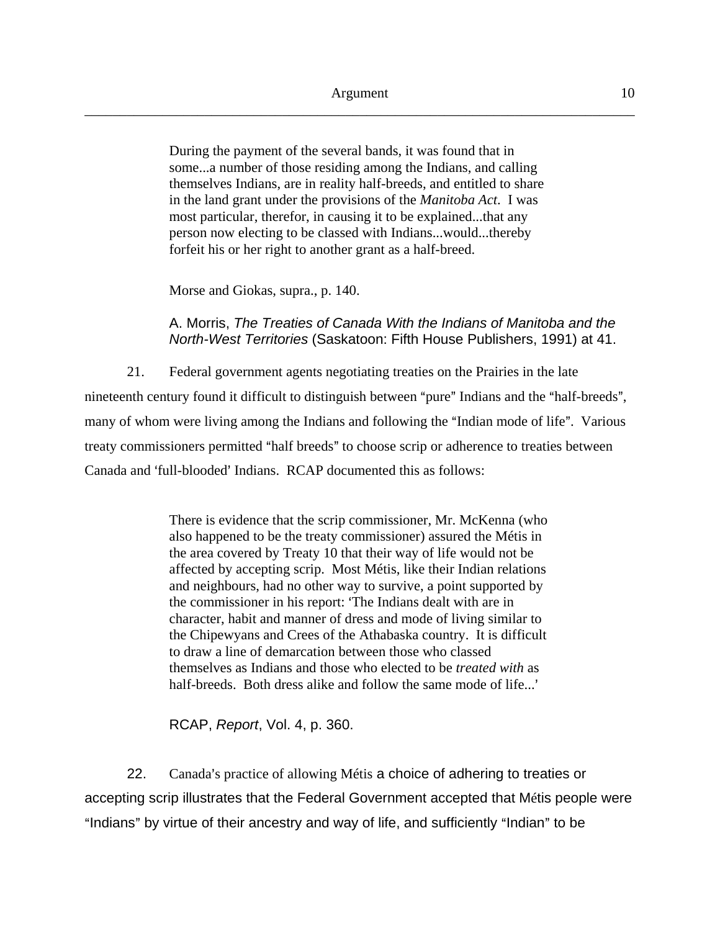During the payment of the several bands, it was found that in some...a number of those residing among the Indians, and calling themselves Indians, are in reality half-breeds, and entitled to share in the land grant under the provisions of the *Manitoba Act*. I was most particular, therefor, in causing it to be explained...that any person now electing to be classed with Indians...would...thereby forfeit his or her right to another grant as a half-breed.

Morse and Giokas, supra., p. 140.

A. Morris, *The Treaties of Canada With the Indians of Manitoba and the North-West Territories* (Saskatoon: Fifth House Publishers, 1991) at 41.

21. Federal government agents negotiating treaties on the Prairies in the late nineteenth century found it difficult to distinguish between "pure" Indians and the "half-breeds", many of whom were living among the Indians and following the "Indian mode of life". Various treaty commissioners permitted "half breeds" to choose scrip or adherence to treaties between Canada and 'full-blooded' Indians. RCAP documented this as follows:

> There is evidence that the scrip commissioner, Mr. McKenna (who also happened to be the treaty commissioner) assured the Métis in the area covered by Treaty 10 that their way of life would not be affected by accepting scrip. Most Métis, like their Indian relations and neighbours, had no other way to survive, a point supported by the commissioner in his report: 'The Indians dealt with are in character, habit and manner of dress and mode of living similar to the Chipewyans and Crees of the Athabaska country. It is difficult to draw a line of demarcation between those who classed themselves as Indians and those who elected to be *treated with* as half-breeds. Both dress alike and follow the same mode of life...'

RCAP, *Report*, Vol. 4, p. 360.

22. Canada's practice of allowing Métis a choice of adhering to treaties or accepting scrip illustrates that the Federal Government accepted that Métis people were "Indians" by virtue of their ancestry and way of life, and sufficiently "Indian" to be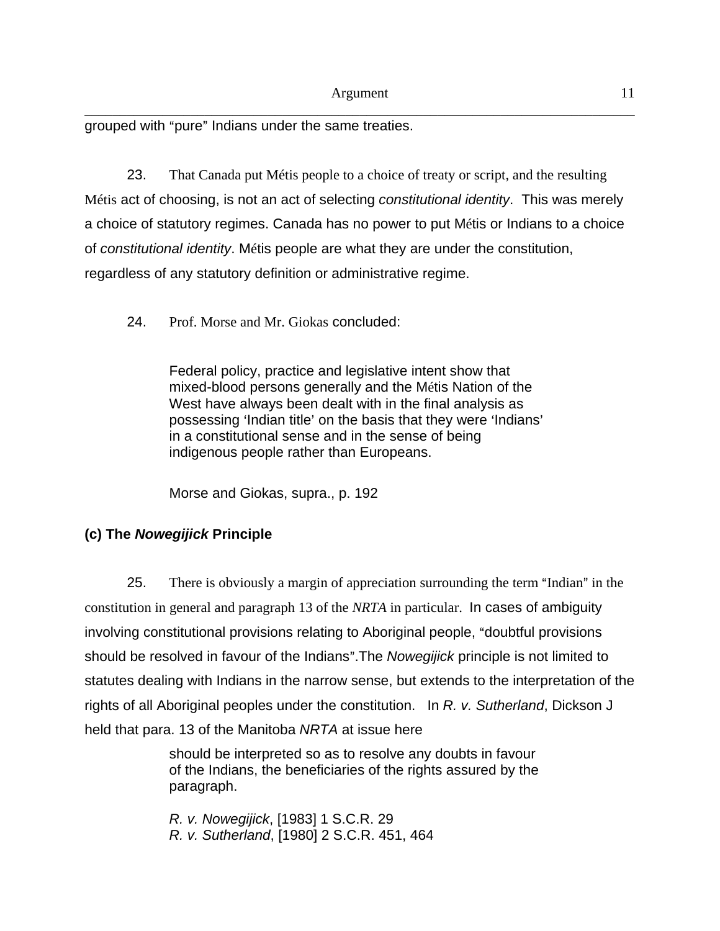\_\_\_\_\_\_\_\_\_\_\_\_\_\_\_\_\_\_\_\_\_\_\_\_\_\_\_\_\_\_\_\_\_\_\_\_\_\_\_\_\_\_\_\_\_\_\_\_\_\_\_\_\_\_\_\_\_\_\_\_\_\_\_\_\_\_\_\_\_\_\_\_\_\_\_\_\_\_ grouped with "pure" Indians under the same treaties.

23. That Canada put Métis people to a choice of treaty or script, and the resulting Métis act of choosing, is not an act of selecting *constitutional identity*. This was merely a choice of statutory regimes. Canada has no power to put Métis or Indians to a choice of *constitutional identity*. Métis people are what they are under the constitution, regardless of any statutory definition or administrative regime.

24. Prof. Morse and Mr. Giokas concluded:

Federal policy, practice and legislative intent show that mixed-blood persons generally and the Métis Nation of the West have always been dealt with in the final analysis as possessing 'Indian title' on the basis that they were 'Indians' in a constitutional sense and in the sense of being indigenous people rather than Europeans.

Morse and Giokas, supra., p. 192

# **(c) The** *Nowegijick* **Principle**

25. There is obviously a margin of appreciation surrounding the term "Indian" in the constitution in general and paragraph 13 of the *NRTA* in particular. In cases of ambiguity involving constitutional provisions relating to Aboriginal people, "doubtful provisions should be resolved in favour of the Indians". The *Nowegijick* principle is not limited to statutes dealing with Indians in the narrow sense, but extends to the interpretation of the rights of all Aboriginal peoples under the constitution. In *R. v. Sutherland*, Dickson J held that para. 13 of the Manitoba *NRTA* at issue here

> should be interpreted so as to resolve any doubts in favour of the Indians, the beneficiaries of the rights assured by the paragraph.

*R. v. Nowegijick*, [1983] 1 S.C.R. 29 *R. v. Sutherland*, [1980] 2 S.C.R. 451, 464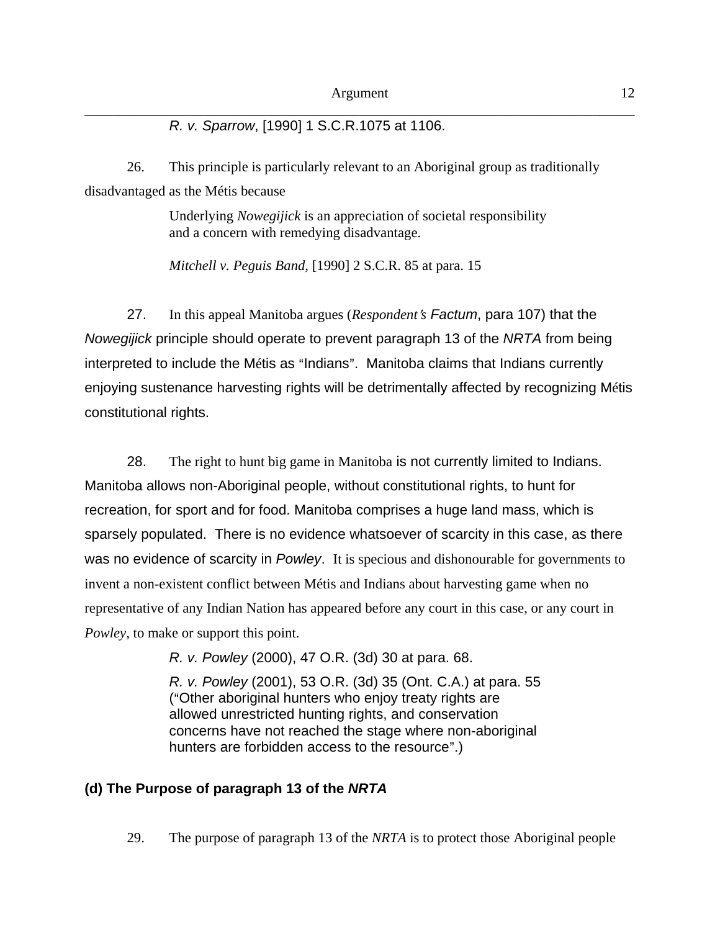*R. v. Sparrow*, [1990] 1 S.C.R.1075 at 1106.

26. This principle is particularly relevant to an Aboriginal group as traditionally disadvantaged as the Métis because

> Underlying *Nowegijick* is an appreciation of societal responsibility and a concern with remedying disadvantage.

*Mitchell v. Peguis Band*, [1990] 2 S.C.R. 85 at para. 15

27. In this appeal Manitoba argues (*Respondent*=*s Factum*, para 107) that the *Nowegijick* principle should operate to prevent paragraph 13 of the *NRTA* from being interpreted to include the Métis as "Indians". Manitoba claims that Indians currently enjoying sustenance harvesting rights will be detrimentally affected by recognizing Métis constitutional rights.

28. The right to hunt big game in Manitoba is not currently limited to Indians. Manitoba allows non-Aboriginal people, without constitutional rights, to hunt for recreation, for sport and for food. Manitoba comprises a huge land mass, which is sparsely populated. There is no evidence whatsoever of scarcity in this case, as there was no evidence of scarcity in *Powley*. It is specious and dishonourable for governments to invent a non-existent conflict between Métis and Indians about harvesting game when no representative of any Indian Nation has appeared before any court in this case, or any court in *Powley*, to make or support this point.

*R. v. Powley* (2000), 47 O.R. (3d) 30 at para. 68.

*R. v. Powley* (2001), 53 O.R. (3d) 35 (Ont. C.A.) at para. 55 ("Other aboriginal hunters who enjoy treaty rights are allowed unrestricted hunting rights, and conservation concerns have not reached the stage where non-aboriginal hunters are forbidden access to the resource".)

## **(d) The Purpose of paragraph 13 of the** *NRTA*

29. The purpose of paragraph 13 of the *NRTA* is to protect those Aboriginal people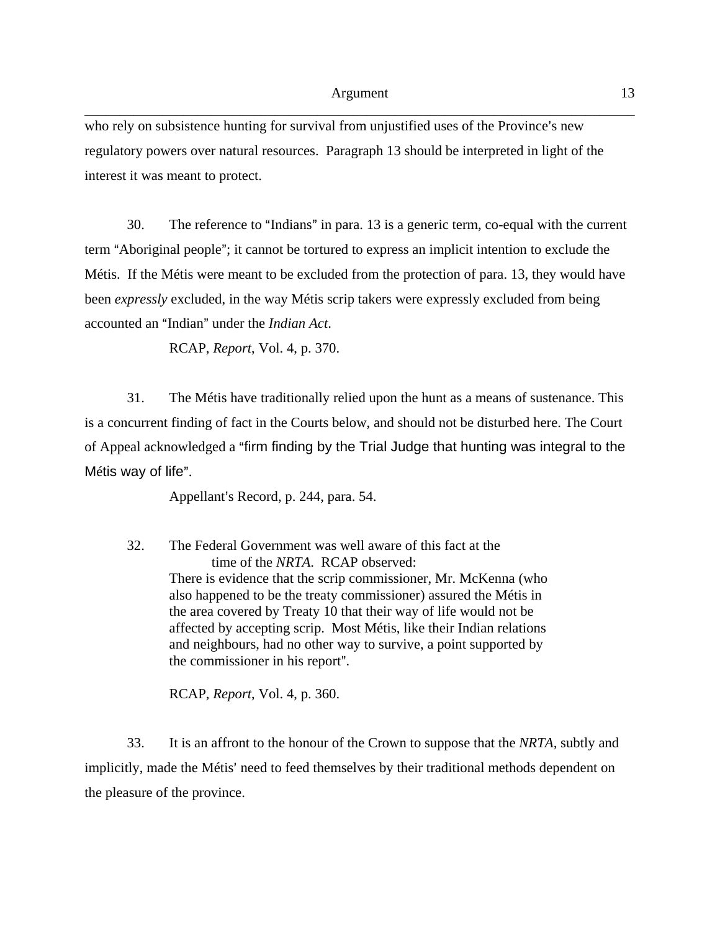who rely on subsistence hunting for survival from unjustified uses of the Province's new regulatory powers over natural resources. Paragraph 13 should be interpreted in light of the interest it was meant to protect.

30. The reference to "Indians" in para. 13 is a generic term, co-equal with the current term "Aboriginal people"; it cannot be tortured to express an implicit intention to exclude the Métis. If the Métis were meant to be excluded from the protection of para. 13, they would have been *expressly* excluded, in the way Métis scrip takers were expressly excluded from being accounted an "Indian" under the *Indian Act*.

RCAP, *Report*, Vol. 4, p. 370.

31. The Métis have traditionally relied upon the hunt as a means of sustenance. This is a concurrent finding of fact in the Courts below, and should not be disturbed here. The Court of Appeal acknowledged a Afirm finding by the Trial Judge that hunting was integral to the Métis way of life".

Appellant's Record, p. 244, para. 54.

32. The Federal Government was well aware of this fact at the time of the *NRTA*. RCAP observed: There is evidence that the scrip commissioner, Mr. McKenna (who also happened to be the treaty commissioner) assured the Métis in the area covered by Treaty 10 that their way of life would not be affected by accepting scrip. Most Métis, like their Indian relations and neighbours, had no other way to survive, a point supported by the commissioner in his report".

RCAP, *Report*, Vol. 4, p. 360.

33. It is an affront to the honour of the Crown to suppose that the *NRTA,* subtly and implicitly, made the Métis' need to feed themselves by their traditional methods dependent on the pleasure of the province.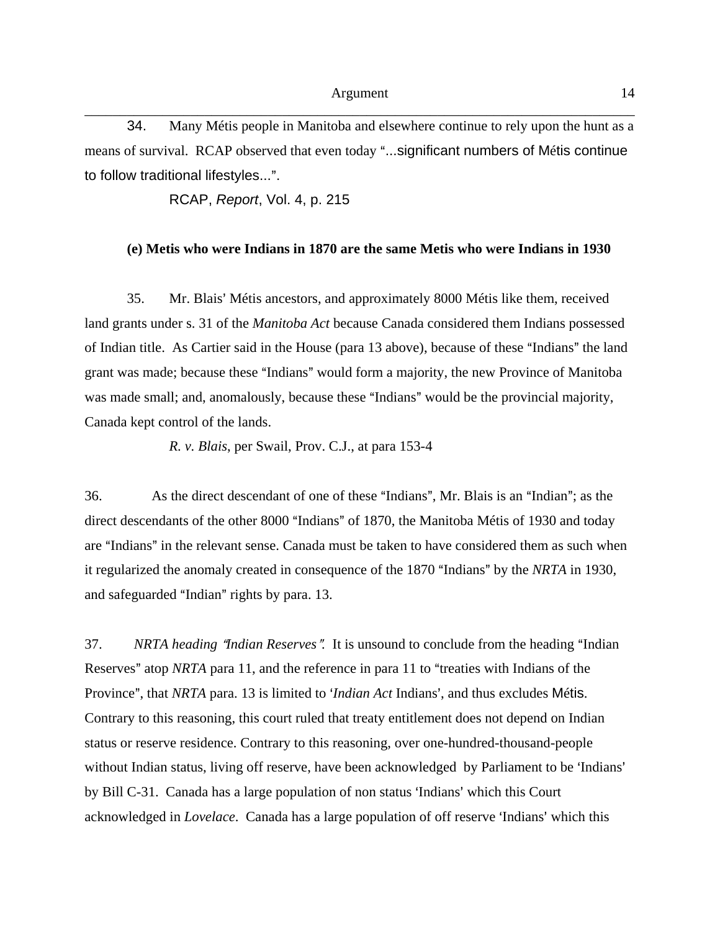34. Many Métis people in Manitoba and elsewhere continue to rely upon the hunt as a means of survival. RCAP observed that even today "...significant numbers of Métis continue to follow traditional lifestyles...".

RCAP, *Report*, Vol. 4, p. 215

#### **(e) Metis who were Indians in 1870 are the same Metis who were Indians in 1930**

35. Mr. Blais' Métis ancestors, and approximately 8000 Métis like them, received land grants under s. 31 of the *Manitoba Act* because Canada considered them Indians possessed of Indian title. As Cartier said in the House (para 13 above), because of these "Indians" the land grant was made; because these "Indians" would form a majority, the new Province of Manitoba was made small; and, anomalously, because these "Indians" would be the provincial majority, Canada kept control of the lands.

*R. v. Blais*, per Swail, Prov. C.J., at para 153-4

36. As the direct descendant of one of these "Indians", Mr. Blais is an "Indian"; as the direct descendants of the other 8000 "Indians" of 1870, the Manitoba Métis of 1930 and today are "Indians" in the relevant sense. Canada must be taken to have considered them as such when it regularized the anomaly created in consequence of the 1870 "Indians" by the *NRTA* in 1930, and safeguarded "Indian" rights by para. 13.

37. *NRTA heading "Indian Reserves".* It is unsound to conclude from the heading "Indian Reserves" atop *NRTA* para 11, and the reference in para 11 to "treaties with Indians of the Province", that *NRTA* para. 13 is limited to *'Indian Act* Indians', and thus excludes Métis. Contrary to this reasoning, this court ruled that treaty entitlement does not depend on Indian status or reserve residence. Contrary to this reasoning, over one-hundred-thousand-people without Indian status, living off reserve, have been acknowledged by Parliament to be 'Indians' by Bill C-31. Canada has a large population of non status 'Indians' which this Court acknowledged in *Lovelace*. Canada has a large population of off reserve 'Indians' which this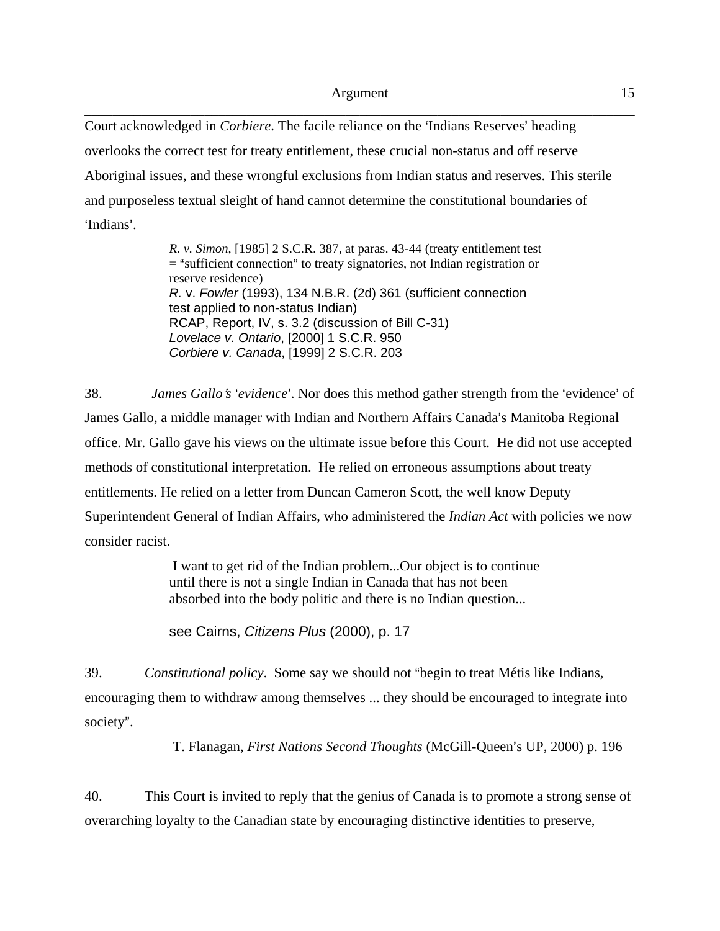Court acknowledged in *Corbiere*. The facile reliance on the 'Indians Reserves' heading overlooks the correct test for treaty entitlement, these crucial non-status and off reserve Aboriginal issues, and these wrongful exclusions from Indian status and reserves. This sterile and purposeless textual sleight of hand cannot determine the constitutional boundaries of 'Indians'

> *R. v. Simon*, [1985] 2 S.C.R. 387, at paras. 43-44 (treaty entitlement test  $=$  "sufficient connection" to treaty signatories, not Indian registration or reserve residence) *R.* v. *Fowler* (1993), 134 N.B.R. (2d) 361 (sufficient connection test applied to non-status Indian) RCAP, Report, IV, s. 3.2 (discussion of Bill C-31) *Lovelace v. Ontario*, [2000] 1 S.C.R. 950 *Corbiere v. Canada*, [1999] 2 S.C.R. 203

38. *James Gallo's 'evidence'*. Nor does this method gather strength from the 'evidence' of James Gallo, a middle manager with Indian and Northern Affairs Canada's Manitoba Regional office. Mr. Gallo gave his views on the ultimate issue before this Court. He did not use accepted methods of constitutional interpretation. He relied on erroneous assumptions about treaty entitlements. He relied on a letter from Duncan Cameron Scott, the well know Deputy Superintendent General of Indian Affairs, who administered the *Indian Act* with policies we now consider racist.

> I want to get rid of the Indian problem...Our object is to continue until there is not a single Indian in Canada that has not been absorbed into the body politic and there is no Indian question...

see Cairns, *Citizens Plus* (2000), p. 17

39. *Constitutional policy*. Some say we should not "begin to treat Métis like Indians, encouraging them to withdraw among themselves ... they should be encouraged to integrate into society".

T. Flanagan, *First Nations Second Thoughts* (McGill-Queen's UP, 2000) p. 196

40. This Court is invited to reply that the genius of Canada is to promote a strong sense of overarching loyalty to the Canadian state by encouraging distinctive identities to preserve,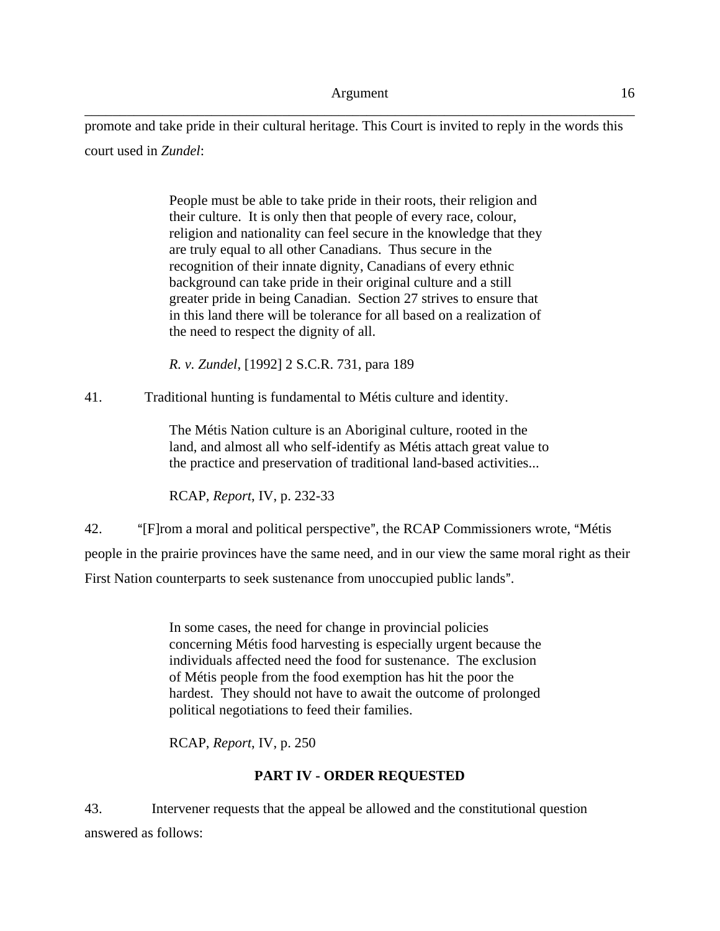promote and take pride in their cultural heritage. This Court is invited to reply in the words this court used in *Zundel*:

> People must be able to take pride in their roots, their religion and their culture. It is only then that people of every race, colour, religion and nationality can feel secure in the knowledge that they are truly equal to all other Canadians. Thus secure in the recognition of their innate dignity, Canadians of every ethnic background can take pride in their original culture and a still greater pride in being Canadian. Section 27 strives to ensure that in this land there will be tolerance for all based on a realization of the need to respect the dignity of all.

*R. v. Zundel*, [1992] 2 S.C.R. 731, para 189

41. Traditional hunting is fundamental to Métis culture and identity.

The Métis Nation culture is an Aboriginal culture, rooted in the land, and almost all who self-identify as Métis attach great value to the practice and preservation of traditional land-based activities...

RCAP, *Report*, IV, p. 232-33

42. "[F]rom a moral and political perspective", the RCAP Commissioners wrote, "Métis" people in the prairie provinces have the same need, and in our view the same moral right as their First Nation counterparts to seek sustenance from unoccupied public lands".

> In some cases, the need for change in provincial policies concerning Métis food harvesting is especially urgent because the individuals affected need the food for sustenance. The exclusion of Métis people from the food exemption has hit the poor the hardest. They should not have to await the outcome of prolonged political negotiations to feed their families.

RCAP, *Report*, IV, p. 250

## **PART IV - ORDER REQUESTED**

43. Intervener requests that the appeal be allowed and the constitutional question answered as follows: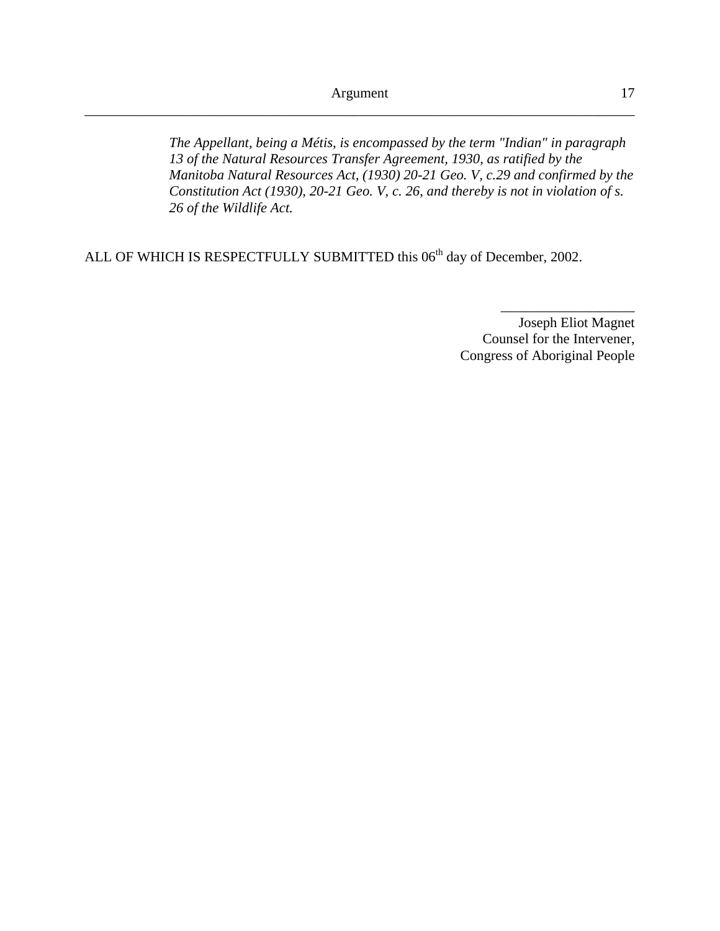*The Appellant, being a Métis, is encompassed by the term "Indian" in paragraph 13 of the Natural Resources Transfer Agreement, 1930, as ratified by the Manitoba Natural Resources Act, (1930) 20-21 Geo. V, c.29 and confirmed by the Constitution Act (1930), 20-21 Geo. V, c. 26, and thereby is not in violation of s. 26 of the Wildlife Act.*

ALL OF WHICH IS RESPECTFULLY SUBMITTED this 06<sup>th</sup> day of December, 2002.

Joseph Eliot Magnet Counsel for the Intervener, Congress of Aboriginal People

\_\_\_\_\_\_\_\_\_\_\_\_\_\_\_\_\_\_\_